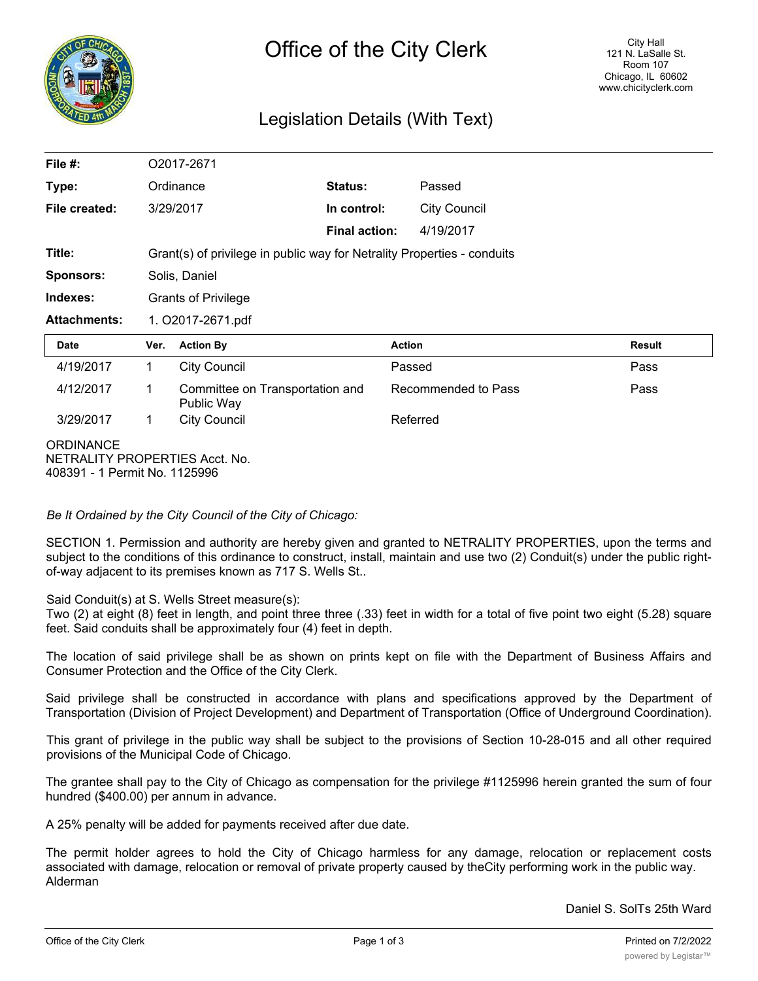

## Legislation Details (With Text)

| File $#$ :          |                                                                         | O2017-2671                                    |                      |               |                     |               |  |
|---------------------|-------------------------------------------------------------------------|-----------------------------------------------|----------------------|---------------|---------------------|---------------|--|
| Type:               |                                                                         | Ordinance                                     | Status:              |               | Passed              |               |  |
| File created:       |                                                                         | 3/29/2017                                     | In control:          |               | <b>City Council</b> |               |  |
|                     |                                                                         |                                               | <b>Final action:</b> |               | 4/19/2017           |               |  |
| Title:              | Grant(s) of privilege in public way for Netrality Properties - conduits |                                               |                      |               |                     |               |  |
| <b>Sponsors:</b>    | Solis, Daniel                                                           |                                               |                      |               |                     |               |  |
| Indexes:            | <b>Grants of Privilege</b>                                              |                                               |                      |               |                     |               |  |
|                     | 1. O2017-2671.pdf                                                       |                                               |                      |               |                     |               |  |
| <b>Attachments:</b> |                                                                         |                                               |                      |               |                     |               |  |
| <b>Date</b>         | Ver.                                                                    | <b>Action By</b>                              |                      | <b>Action</b> |                     | <b>Result</b> |  |
| 4/19/2017           | $\mathbf{1}$                                                            | <b>City Council</b>                           |                      | Passed        |                     | Pass          |  |
| 4/12/2017           | 1                                                                       | Committee on Transportation and<br>Public Way |                      |               | Recommended to Pass | Pass          |  |
| 3/29/2017           | $\mathbf{1}$                                                            | <b>City Council</b>                           |                      | Referred      |                     |               |  |

*Be It Ordained by the City Council of the City of Chicago:*

SECTION 1. Permission and authority are hereby given and granted to NETRALITY PROPERTIES, upon the terms and subject to the conditions of this ordinance to construct, install, maintain and use two (2) Conduit(s) under the public rightof-way adjacent to its premises known as 717 S. Wells St..

Said Conduit(s) at S. Wells Street measure(s):

Two (2) at eight (8) feet in length, and point three three (.33) feet in width for a total of five point two eight (5.28) square feet. Said conduits shall be approximately four (4) feet in depth.

The location of said privilege shall be as shown on prints kept on file with the Department of Business Affairs and Consumer Protection and the Office of the City Clerk.

Said privilege shall be constructed in accordance with plans and specifications approved by the Department of Transportation (Division of Project Development) and Department of Transportation (Office of Underground Coordination).

This grant of privilege in the public way shall be subject to the provisions of Section 10-28-015 and all other required provisions of the Municipal Code of Chicago.

The grantee shall pay to the City of Chicago as compensation for the privilege #1125996 herein granted the sum of four hundred (\$400.00) per annum in advance.

A 25% penalty will be added for payments received after due date.

The permit holder agrees to hold the City of Chicago harmless for any damage, relocation or replacement costs associated with damage, relocation or removal of private property caused by theCity performing work in the public way. Alderman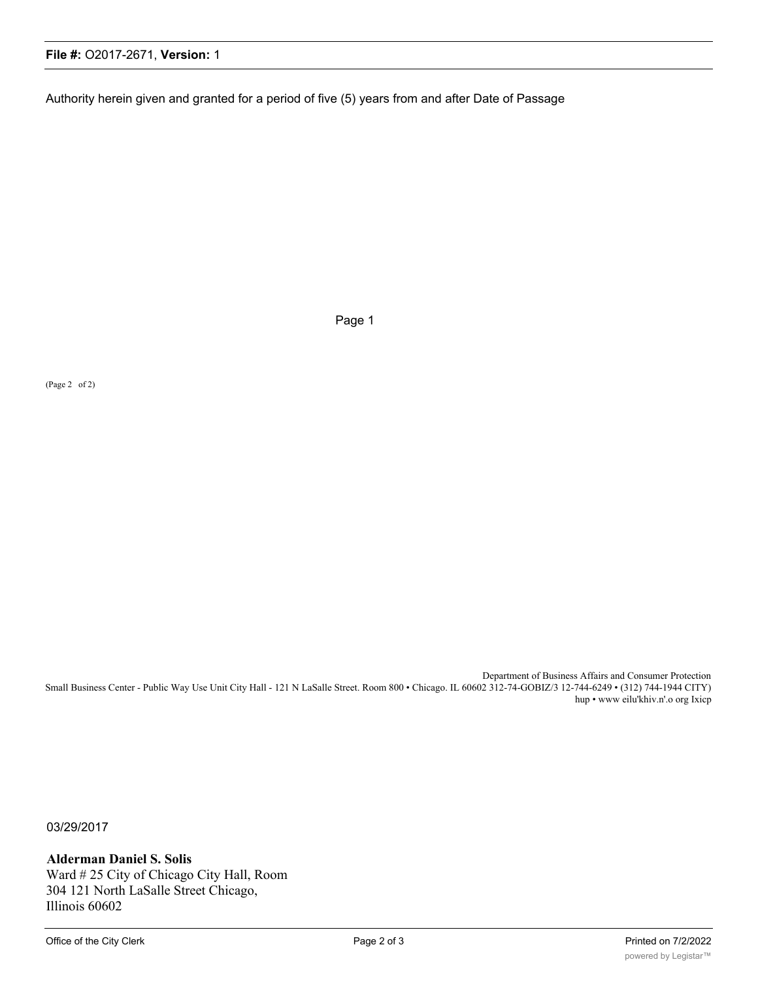## **File #:** O2017-2671, **Version:** 1

Authority herein given and granted for a period of five (5) years from and after Date of Passage

Page 1

(Page 2 of 2)

Department of Business Affairs and Consumer Protection Small Business Center - Public Way Use Unit City Hall - 121 N LaSalle Street. Room 800 • Chicago. IL 60602 312-74-GOBIZ/3 12-744-6249 • (312) 744-1944 CITY) hup • www eilu'khiv.n'.o org Ixicp

03/29/2017

**Alderman Daniel S. Solis** Ward # 25 City of Chicago City Hall, Room 304 121 North LaSalle Street Chicago, Illinois 60602